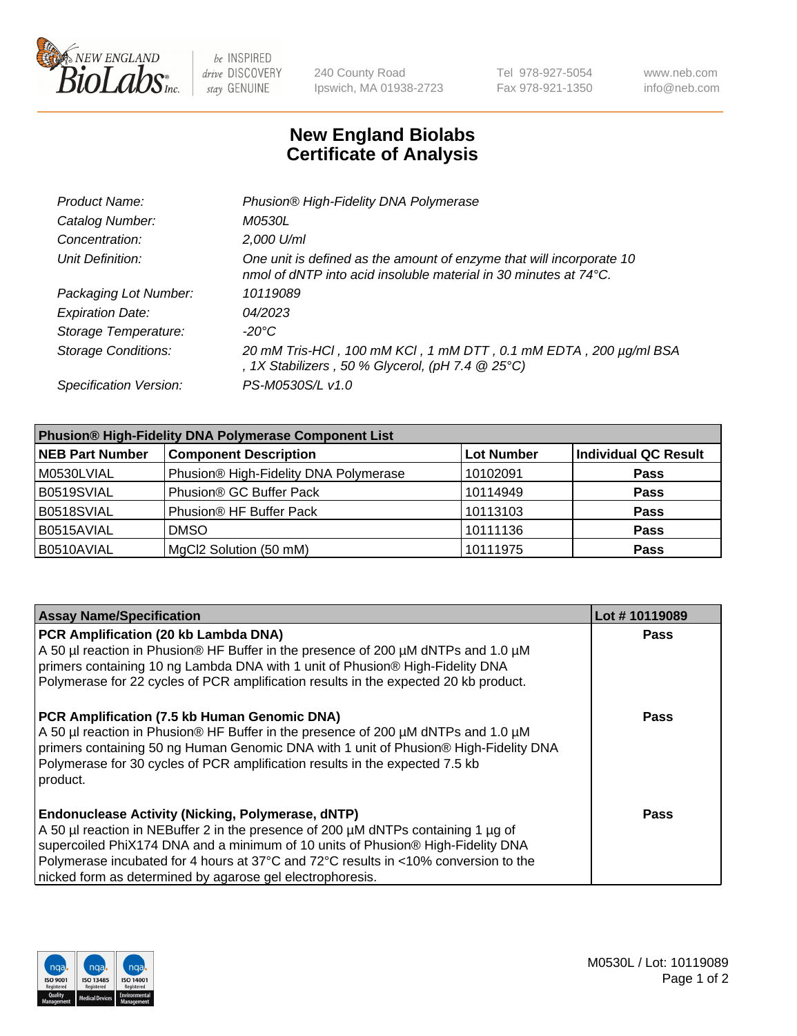

be INSPIRED drive DISCOVERY stay GENUINE

240 County Road Ipswich, MA 01938-2723 Tel 978-927-5054 Fax 978-921-1350 www.neb.com info@neb.com

## **New England Biolabs Certificate of Analysis**

| Product Name:              | Phusion® High-Fidelity DNA Polymerase                                                                                                              |
|----------------------------|----------------------------------------------------------------------------------------------------------------------------------------------------|
| Catalog Number:            | <i>M0530L</i>                                                                                                                                      |
| Concentration:             | 2,000 U/ml                                                                                                                                         |
| Unit Definition:           | One unit is defined as the amount of enzyme that will incorporate 10<br>nmol of dNTP into acid insoluble material in 30 minutes at $74^{\circ}$ C. |
| Packaging Lot Number:      | 10119089                                                                                                                                           |
| <b>Expiration Date:</b>    | 04/2023                                                                                                                                            |
| Storage Temperature:       | -20°C                                                                                                                                              |
| <b>Storage Conditions:</b> | 20 mM Tris-HCl, 100 mM KCl, 1 mM DTT, 0.1 mM EDTA, 200 µg/ml BSA<br>, 1X Stabilizers, 50 % Glycerol, (pH 7.4 $@25°C$ )                             |
| Specification Version:     | PS-M0530S/L v1.0                                                                                                                                   |

| <b>Phusion® High-Fidelity DNA Polymerase Component List</b> |                                       |                   |                             |  |
|-------------------------------------------------------------|---------------------------------------|-------------------|-----------------------------|--|
| <b>NEB Part Number</b>                                      | <b>Component Description</b>          | <b>Lot Number</b> | <b>Individual QC Result</b> |  |
| M0530LVIAL                                                  | Phusion® High-Fidelity DNA Polymerase | 10102091          | <b>Pass</b>                 |  |
| B0519SVIAL                                                  | Phusion <sup>®</sup> GC Buffer Pack   | 10114949          | <b>Pass</b>                 |  |
| B0518SVIAL                                                  | Phusion® HF Buffer Pack               | 10113103          | <b>Pass</b>                 |  |
| B0515AVIAL                                                  | <b>DMSO</b>                           | 10111136          | <b>Pass</b>                 |  |
| B0510AVIAL                                                  | MgCl2 Solution (50 mM)                | 10111975          | <b>Pass</b>                 |  |

| <b>Assay Name/Specification</b>                                                                                                                                           | Lot #10119089 |
|---------------------------------------------------------------------------------------------------------------------------------------------------------------------------|---------------|
| PCR Amplification (20 kb Lambda DNA)<br>A 50 µl reaction in Phusion® HF Buffer in the presence of 200 µM dNTPs and 1.0 µM                                                 | <b>Pass</b>   |
| primers containing 10 ng Lambda DNA with 1 unit of Phusion® High-Fidelity DNA                                                                                             |               |
| Polymerase for 22 cycles of PCR amplification results in the expected 20 kb product.                                                                                      |               |
| PCR Amplification (7.5 kb Human Genomic DNA)                                                                                                                              | <b>Pass</b>   |
| A 50 µl reaction in Phusion® HF Buffer in the presence of 200 µM dNTPs and 1.0 µM<br>primers containing 50 ng Human Genomic DNA with 1 unit of Phusion® High-Fidelity DNA |               |
| Polymerase for 30 cycles of PCR amplification results in the expected 7.5 kb<br>product.                                                                                  |               |
|                                                                                                                                                                           |               |
| <b>Endonuclease Activity (Nicking, Polymerase, dNTP)</b>                                                                                                                  | Pass          |
| A 50 µl reaction in NEBuffer 2 in the presence of 200 µM dNTPs containing 1 µg of                                                                                         |               |
| supercoiled PhiX174 DNA and a minimum of 10 units of Phusion® High-Fidelity DNA                                                                                           |               |
| Polymerase incubated for 4 hours at 37°C and 72°C results in <10% conversion to the                                                                                       |               |
| nicked form as determined by agarose gel electrophoresis.                                                                                                                 |               |